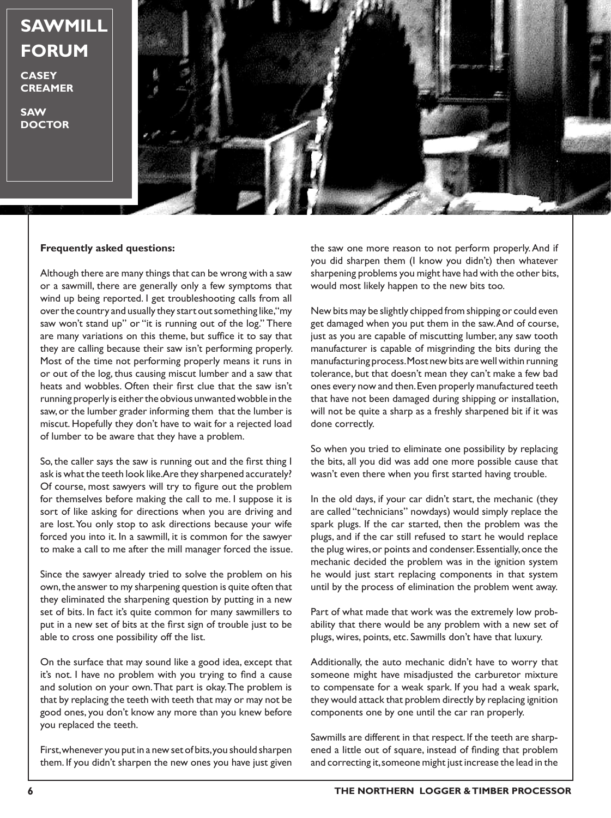## **SAWMILL FORUM**

**CASEY CREAMER**

**SAW DOCTOR**



## **Frequently asked questions:**

Although there are many things that can be wrong with a saw or a sawmill, there are generally only a few symptoms that wind up being reported. I get troubleshooting calls from all over the country and usually they start out something like, "my saw won't stand up" or "it is running out of the log." There are many variations on this theme, but suffice it to say that they are calling because their saw isn't performing properly. Most of the time not performing properly means it runs in or out of the log, thus causing miscut lumber and a saw that heats and wobbles. Often their first clue that the saw isn't running properly is either the obvious unwanted wobble in the saw, or the lumber grader informing them that the lumber is miscut. Hopefully they don't have to wait for a rejected load of lumber to be aware that they have a problem.

So, the caller says the saw is running out and the first thing I ask is what the teeth look like. Are they sharpened accurately? Of course, most sawyers will try to figure out the problem for themselves before making the call to me. I suppose it is sort of like asking for directions when you are driving and are lost. You only stop to ask directions because your wife forced you into it. In a sawmill, it is common for the sawyer to make a call to me after the mill manager forced the issue.

Since the sawyer already tried to solve the problem on his own, the answer to my sharpening question is quite often that they eliminated the sharpening question by putting in a new set of bits. In fact it's quite common for many sawmillers to put in a new set of bits at the first sign of trouble just to be able to cross one possibility off the list.

On the surface that may sound like a good idea, except that it's not. I have no problem with you trying to find a cause and solution on your own. That part is okay. The problem is that by replacing the teeth with teeth that may or may not be good ones, you don't know any more than you knew before you replaced the teeth.

First, whenever you put in a new set of bits, you should sharpen them. If you didn't sharpen the new ones you have just given

the saw one more reason to not perform properly. And if you did sharpen them (I know you didn't) then whatever sharpening problems you might have had with the other bits, would most likely happen to the new bits too.

New bits may be slightly chipped from shipping or could even get damaged when you put them in the saw. And of course, just as you are capable of miscutting lumber, any saw tooth manufacturer is capable of misgrinding the bits during the manufacturing process. Most new bits are well within running tolerance, but that doesn't mean they can't make a few bad ones every now and then. Even properly manufactured teeth that have not been damaged during shipping or installation, will not be quite a sharp as a freshly sharpened bit if it was done correctly.

So when you tried to eliminate one possibility by replacing the bits, all you did was add one more possible cause that wasn't even there when you first started having trouble.

In the old days, if your car didn't start, the mechanic (they are called "technicians" nowdays) would simply replace the spark plugs. If the car started, then the problem was the plugs, and if the car still refused to start he would replace the plug wires, or points and condenser. Essentially, once the mechanic decided the problem was in the ignition system he would just start replacing components in that system until by the process of elimination the problem went away.

Part of what made that work was the extremely low probability that there would be any problem with a new set of plugs, wires, points, etc. Sawmills don't have that luxury.

Additionally, the auto mechanic didn't have to worry that someone might have misadjusted the carburetor mixture to compensate for a weak spark. If you had a weak spark, they would attack that problem directly by replacing ignition components one by one until the car ran properly.

Sawmills are different in that respect. If the teeth are sharpened a little out of square, instead of finding that problem and correcting it, someone might just increase the lead in the